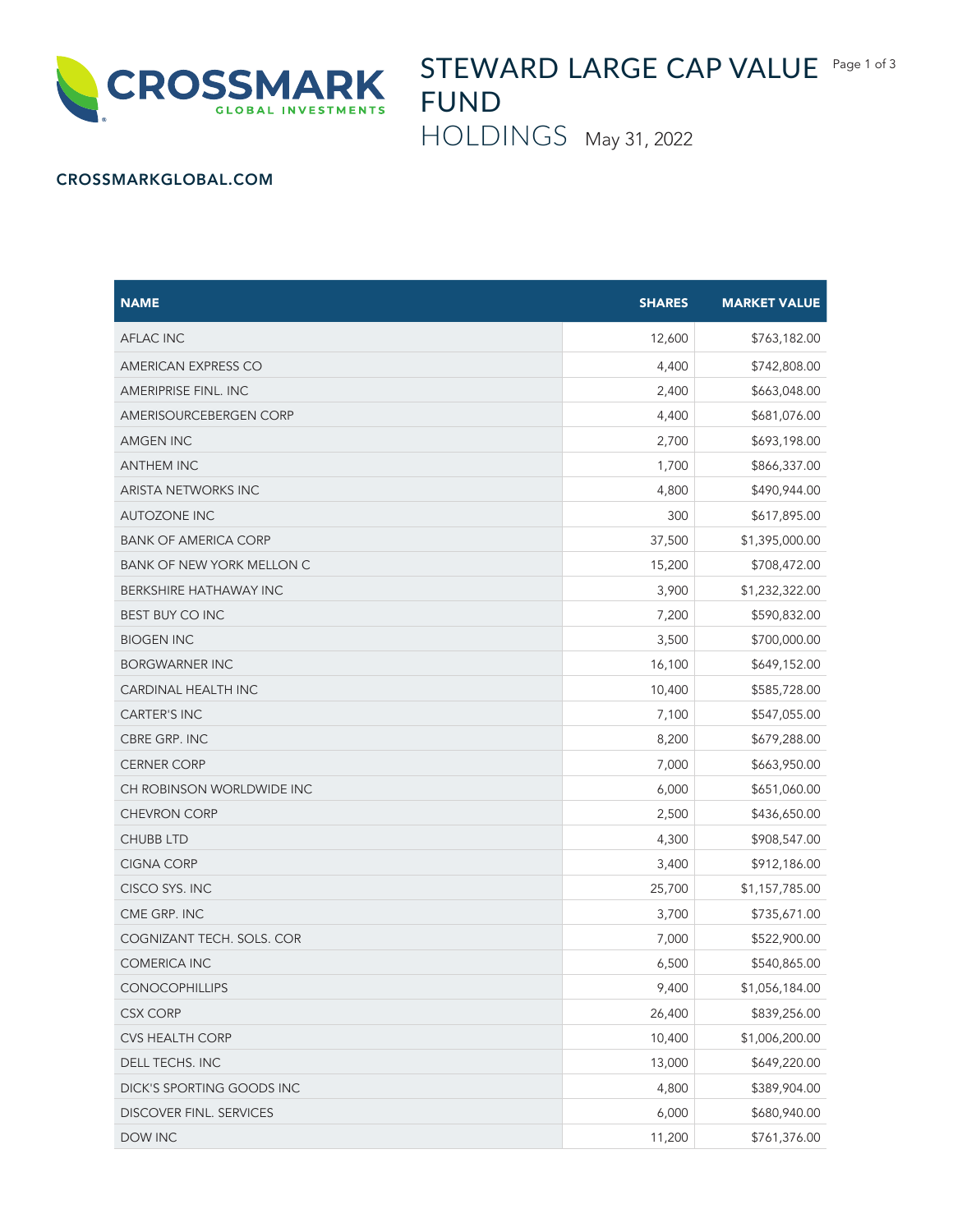

STEWARD LARGE CAP VALUE Page 1 of 3 FUND

HOLDINGS May 31, 2022

## CROSSMARKGLOBAL.COM

| <b>NAME</b>                      | <b>SHARES</b> | <b>MARKET VALUE</b> |
|----------------------------------|---------------|---------------------|
| <b>AFLAC INC</b>                 | 12,600        | \$763,182.00        |
| AMERICAN EXPRESS CO              | 4,400         | \$742,808.00        |
| <b>AMERIPRISE FINL. INC</b>      | 2,400         | \$663,048.00        |
| AMERISOURCEBERGEN CORP           | 4,400         | \$681,076.00        |
| <b>AMGEN INC</b>                 | 2,700         | \$693,198.00        |
| <b>ANTHEM INC</b>                | 1,700         | \$866,337.00        |
| <b>ARISTA NETWORKS INC</b>       | 4,800         | \$490,944.00        |
| <b>AUTOZONE INC</b>              | 300           | \$617,895.00        |
| <b>BANK OF AMERICA CORP</b>      | 37,500        | \$1,395,000.00      |
| <b>BANK OF NEW YORK MELLON C</b> | 15,200        | \$708,472.00        |
| BERKSHIRE HATHAWAY INC           | 3,900         | \$1,232,322.00      |
| <b>BEST BUY CO INC</b>           | 7,200         | \$590,832.00        |
| <b>BIOGEN INC</b>                | 3,500         | \$700,000.00        |
| <b>BORGWARNER INC</b>            | 16,100        | \$649,152.00        |
| CARDINAL HEALTH INC              | 10,400        | \$585,728.00        |
| <b>CARTER'S INC</b>              | 7,100         | \$547,055.00        |
| CBRE GRP. INC                    | 8,200         | \$679,288.00        |
| <b>CERNER CORP</b>               | 7,000         | \$663,950.00        |
| CH ROBINSON WORLDWIDE INC        | 6,000         | \$651,060.00        |
| <b>CHEVRON CORP</b>              | 2,500         | \$436,650.00        |
| <b>CHUBB LTD</b>                 | 4,300         | \$908,547.00        |
| <b>CIGNA CORP</b>                | 3,400         | \$912,186.00        |
| CISCO SYS. INC                   | 25,700        | \$1,157,785.00      |
| CME GRP. INC                     | 3,700         | \$735,671.00        |
| COGNIZANT TECH. SOLS. COR        | 7,000         | \$522,900.00        |
| <b>COMERICA INC</b>              | 6,500         | \$540,865.00        |
| <b>CONOCOPHILLIPS</b>            | 9,400         | \$1,056,184.00      |
| <b>CSX CORP</b>                  | 26,400        | \$839,256.00        |
| CVS HEALTH CORP                  | 10,400        | \$1,006,200.00      |
| DELL TECHS. INC                  | 13,000        | \$649,220.00        |
| DICK'S SPORTING GOODS INC        | 4,800         | \$389,904.00        |
| DISCOVER FINL. SERVICES          | 6,000         | \$680,940.00        |
| DOW INC                          | 11,200        | \$761,376.00        |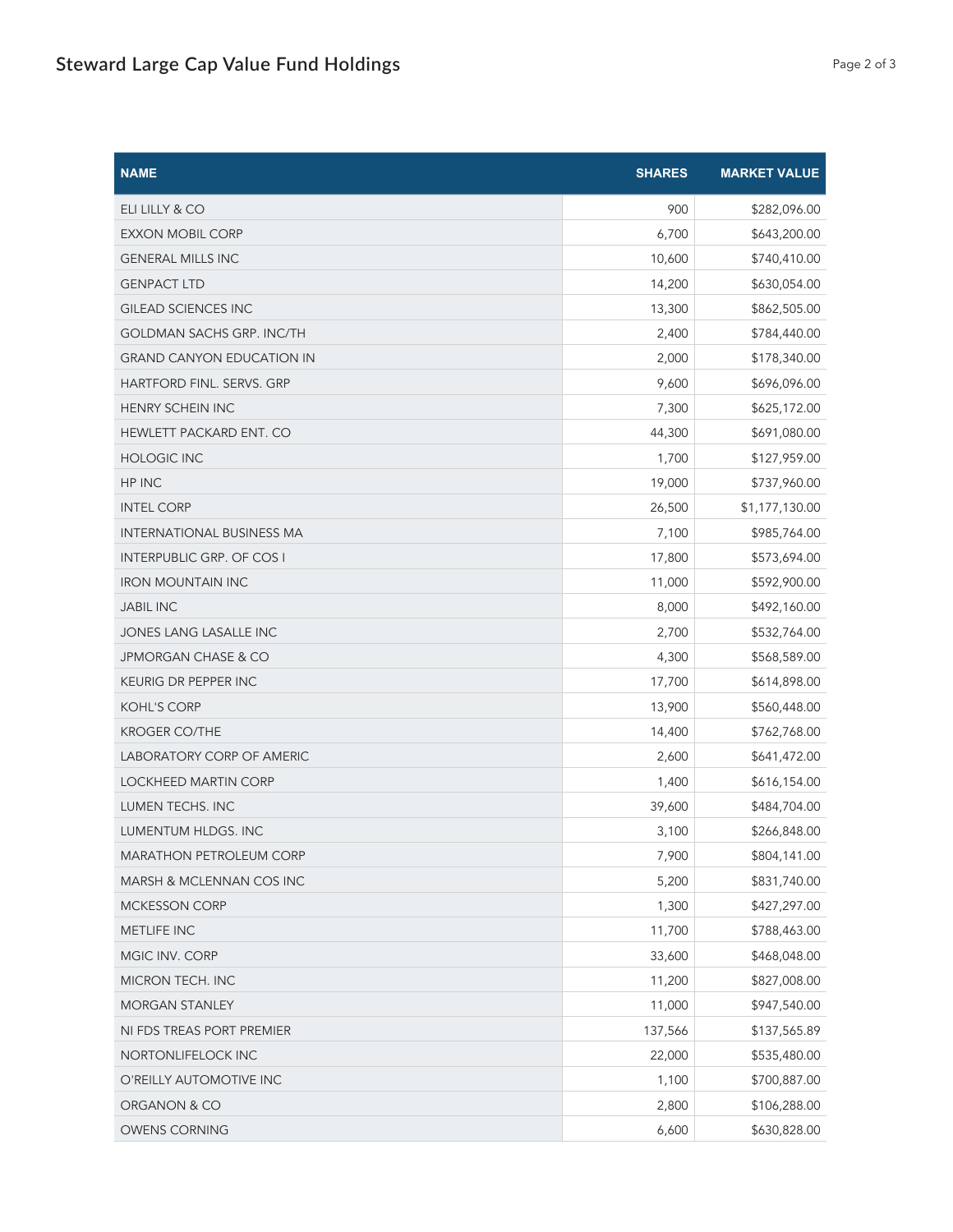| <b>NAME</b>                      | <b>SHARES</b> | <b>MARKET VALUE</b> |
|----------------------------------|---------------|---------------------|
| ELI LILLY & CO                   | 900           | \$282,096.00        |
| <b>EXXON MOBIL CORP</b>          | 6,700         | \$643,200.00        |
| <b>GENERAL MILLS INC</b>         | 10,600        | \$740,410.00        |
| <b>GENPACT LTD</b>               | 14,200        | \$630,054.00        |
| <b>GILEAD SCIENCES INC</b>       | 13,300        | \$862,505.00        |
| <b>GOLDMAN SACHS GRP. INC/TH</b> | 2,400         | \$784,440.00        |
| <b>GRAND CANYON EDUCATION IN</b> | 2,000         | \$178,340.00        |
| HARTFORD FINL. SERVS. GRP        | 9,600         | \$696,096.00        |
| HENRY SCHEIN INC                 | 7,300         | \$625,172.00        |
| HEWLETT PACKARD ENT. CO          | 44,300        | \$691,080.00        |
| <b>HOLOGIC INC</b>               | 1,700         | \$127,959.00        |
| HP INC                           | 19,000        | \$737,960.00        |
| <b>INTEL CORP</b>                | 26,500        | \$1,177,130.00      |
| <b>INTERNATIONAL BUSINESS MA</b> | 7,100         | \$985,764.00        |
| <b>INTERPUBLIC GRP. OF COS I</b> | 17,800        | \$573,694.00        |
| <b>IRON MOUNTAIN INC</b>         | 11,000        | \$592,900.00        |
| <b>JABIL INC</b>                 | 8,000         | \$492,160.00        |
| JONES LANG LASALLE INC           | 2,700         | \$532,764.00        |
| JPMORGAN CHASE & CO              | 4,300         | \$568,589.00        |
| KEURIG DR PEPPER INC             | 17,700        | \$614,898.00        |
| <b>KOHL'S CORP</b>               | 13,900        | \$560,448.00        |
| <b>KROGER CO/THE</b>             | 14,400        | \$762,768.00        |
| LABORATORY CORP OF AMERIC        | 2,600         | \$641,472.00        |
| <b>LOCKHEED MARTIN CORP</b>      | 1,400         | \$616,154.00        |
| LUMEN TECHS. INC                 | 39,600        | \$484,704.00        |
| LUMENTUM HLDGS. INC              | 3,100         | \$266,848.00        |
| MARATHON PETROLEUM CORP          | 7,900         | \$804,141.00        |
| MARSH & MCLENNAN COS INC         | 5,200         | \$831,740.00        |
| <b>MCKESSON CORP</b>             | 1,300         | \$427,297.00        |
| METLIFE INC                      | 11,700        | \$788,463.00        |
| MGIC INV. CORP                   | 33,600        | \$468,048.00        |
| MICRON TECH. INC                 | 11,200        | \$827,008.00        |
| <b>MORGAN STANLEY</b>            | 11,000        | \$947,540.00        |
| NI FDS TREAS PORT PREMIER        | 137,566       | \$137,565.89        |
| NORTONLIFELOCK INC               | 22,000        | \$535,480.00        |
| O'REILLY AUTOMOTIVE INC          | 1,100         | \$700,887.00        |
| ORGANON & CO                     | 2,800         | \$106,288.00        |
| OWENS CORNING                    | 6,600         | \$630,828.00        |